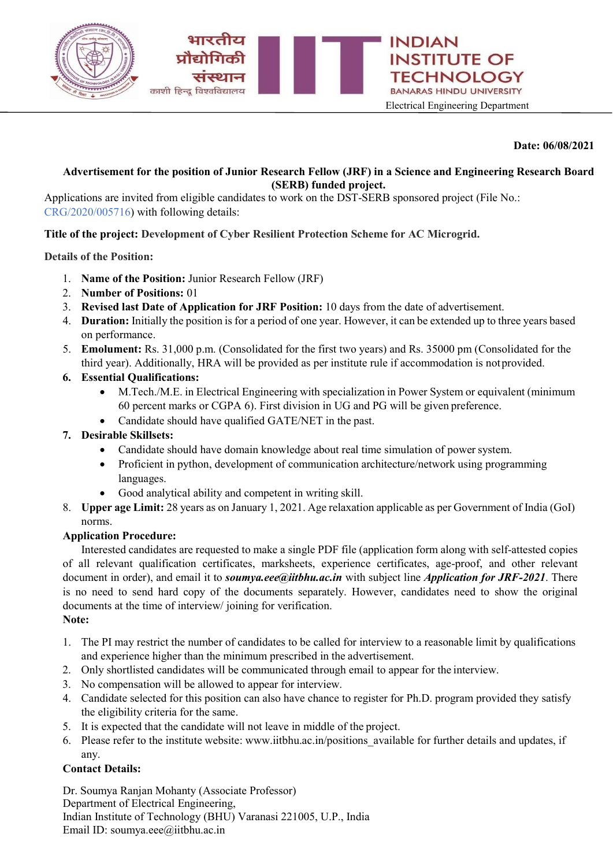

### Date: 06/08/2021

# Advertisement for the position of Junior Research Fellow (JRF) in a Science and Engineering Research Board (SERB) funded project.

Applications are invited from eligible candidates to work on the DST-SERB sponsored project (File No.: CRG/2020/005716) with following details:

# Title of the project: Development of Cyber Resilient Protection Scheme for AC Microgrid.

Details of the Position:

- 1. Name of the Position: Junior Research Fellow (JRF)
- 2. Number of Positions: 01
- 3. Revised last Date of Application for JRF Position: 10 days from the date of advertisement.
- 4. Duration: Initially the position is for a period of one year. However, it can be extended up to three years based on performance.
- 5. Emolument: Rs. 31,000 p.m. (Consolidated for the first two years) and Rs. 35000 pm (Consolidated for the third year). Additionally, HRA will be provided as per institute rule if accommodation is not provided.

### 6. Essential Qualifications:

- M.Tech./M.E. in Electrical Engineering with specialization in Power System or equivalent (minimum 60 percent marks or CGPA 6). First division in UG and PG will be given preference.
- Candidate should have qualified GATE/NET in the past.

## 7. Desirable Skillsets:

- Candidate should have domain knowledge about real time simulation of power system.
- Proficient in python, development of communication architecture/network using programming languages.
- Good analytical ability and competent in writing skill.
- 8. Upper age Limit: 28 years as on January 1, 2021. Age relaxation applicable as per Government of India (GoI) norms.

#### Application Procedure:

Interested candidates are requested to make a single PDF file (application form along with self-attested copies of all relevant qualification certificates, marksheets, experience certificates, age-proof, and other relevant document in order), and email it to *soumya.eee@iitbhu.ac.in* with subject line *Application for JRF-2021*. There is no need to send hard copy of the documents separately. However, candidates need to show the original documents at the time of interview/ joining for verification.

#### Note:

- 1. The PI may restrict the number of candidates to be called for interview to a reasonable limit by qualifications and experience higher than the minimum prescribed in the advertisement.
- 2. Only shortlisted candidates will be communicated through email to appear for the interview.
- 3. No compensation will be allowed to appear for interview.
- 4. Candidate selected for this position can also have chance to register for Ph.D. program provided they satisfy the eligibility criteria for the same.
- 5. It is expected that the candidate will not leave in middle of the project.
- 6. Please refer to the institute website: www.iitbhu.ac.in/positions\_available for further details and updates, if any.

## Contact Details:

Dr. Soumya Ranjan Mohanty (Associate Professor) Department of Electrical Engineering, Indian Institute of Technology (BHU) Varanasi 221005, U.P., India Email ID: soumya.eee@iitbhu.ac.in